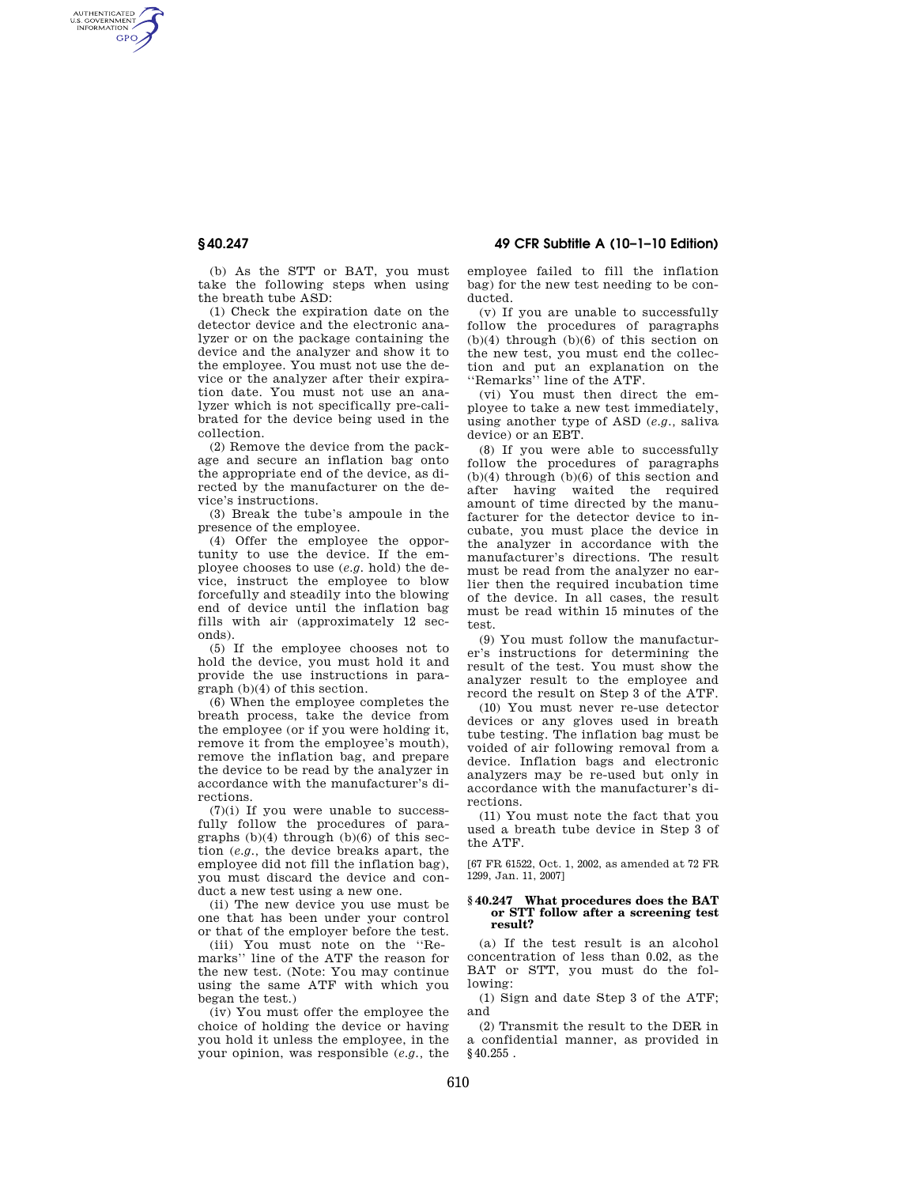AUTHENTICATED<br>U.S. GOVERNMENT<br>INFORMATION **GPO** 

**§ 40.247 49 CFR Subtitle A (10–1–10 Edition)** 

(b) As the STT or BAT, you must take the following steps when using the breath tube ASD:

(1) Check the expiration date on the detector device and the electronic analyzer or on the package containing the device and the analyzer and show it to the employee. You must not use the device or the analyzer after their expiration date. You must not use an analyzer which is not specifically pre-calibrated for the device being used in the collection.

(2) Remove the device from the package and secure an inflation bag onto the appropriate end of the device, as directed by the manufacturer on the device's instructions.

(3) Break the tube's ampoule in the presence of the employee.

(4) Offer the employee the opportunity to use the device. If the employee chooses to use (*e.g.* hold) the device, instruct the employee to blow forcefully and steadily into the blowing end of device until the inflation bag fills with air (approximately 12 seconds).

(5) If the employee chooses not to hold the device, you must hold it and provide the use instructions in paragraph (b)(4) of this section.

(6) When the employee completes the breath process, take the device from the employee (or if you were holding it, remove it from the employee's mouth), remove the inflation bag, and prepare the device to be read by the analyzer in accordance with the manufacturer's directions.

 $(7)(i)$  If you were unable to successfully follow the procedures of paragraphs  $(b)(4)$  through  $(b)(6)$  of this section (*e.g.,* the device breaks apart, the employee did not fill the inflation bag), you must discard the device and conduct a new test using a new one.

(ii) The new device you use must be one that has been under your control or that of the employer before the test.

(iii) You must note on the ''Remarks'' line of the ATF the reason for the new test. (Note: You may continue using the same ATF with which you began the test.)

(iv) You must offer the employee the choice of holding the device or having you hold it unless the employee, in the your opinion, was responsible (*e.g.,* the employee failed to fill the inflation bag) for the new test needing to be conducted.

(v) If you are unable to successfully follow the procedures of paragraphs  $(b)(4)$  through  $(b)(6)$  of this section on the new test, you must end the collection and put an explanation on the ''Remarks'' line of the ATF.

(vi) You must then direct the employee to take a new test immediately, using another type of ASD (*e.g.,* saliva device) or an EBT.

(8) If you were able to successfully follow the procedures of paragraphs (b)(4) through (b)(6) of this section and after having waited the required amount of time directed by the manufacturer for the detector device to incubate, you must place the device in the analyzer in accordance with the manufacturer's directions. The result must be read from the analyzer no earlier then the required incubation time of the device. In all cases, the result must be read within 15 minutes of the test.

(9) You must follow the manufacturer's instructions for determining the result of the test. You must show the analyzer result to the employee and record the result on Step 3 of the ATF.

(10) You must never re-use detector devices or any gloves used in breath tube testing. The inflation bag must be voided of air following removal from a device. Inflation bags and electronic analyzers may be re-used but only in accordance with the manufacturer's directions.

(11) You must note the fact that you used a breath tube device in Step 3 of the ATF.

[67 FR 61522, Oct. 1, 2002, as amended at 72 FR 1299, Jan. 11, 2007]

## **§ 40.247 What procedures does the BAT or STT follow after a screening test result?**

(a) If the test result is an alcohol concentration of less than 0.02, as the BAT or STT, you must do the following:

(1) Sign and date Step 3 of the ATF; and

(2) Transmit the result to the DER in a confidential manner, as provided in §40.255 .